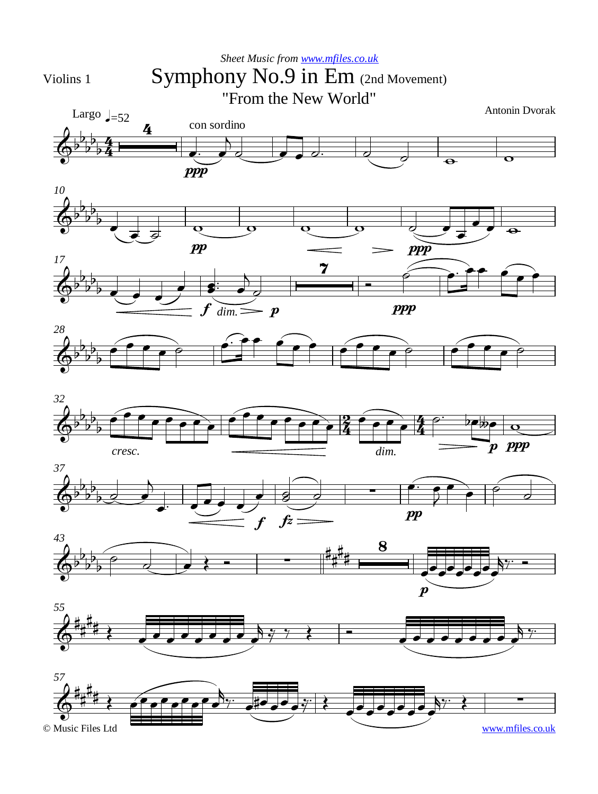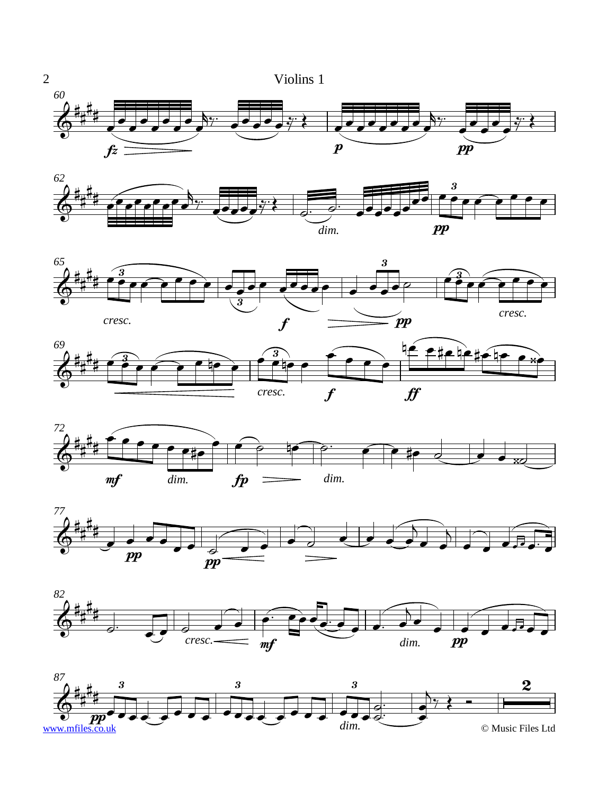

















2